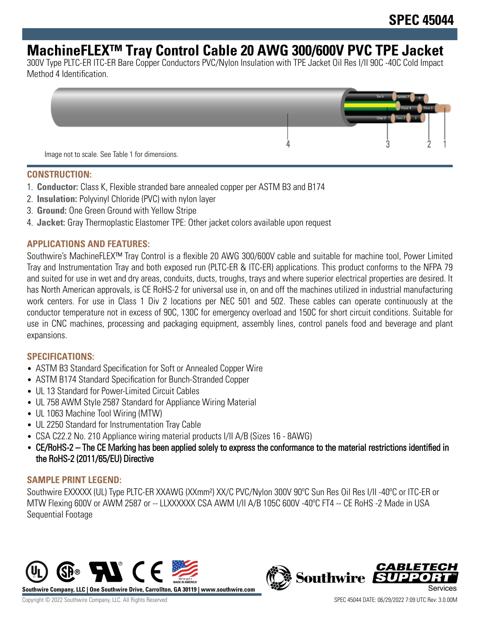# **MachineFLEX™ Tray Control Cable 20 AWG 300/600V PVC TPE Jacket**

300V Type PLTC-ER ITC-ER Bare Copper Conductors PVC/Nylon Insulation with TPE Jacket Oil Res I/II 90C -40C Cold Impact Method 4 Identification.



#### **CONSTRUCTION:**

- 1. **Conductor:** Class K, Flexible stranded bare annealed copper per ASTM B3 and B174
- 2. **Insulation:** Polyvinyl Chloride (PVC) with nylon layer
- 3. **Ground:** One Green Ground with Yellow Stripe
- 4. **Jacket:** Gray Thermoplastic Elastomer TPE: Other jacket colors available upon request

### **APPLICATIONS AND FEATURES:**

Southwire's MachineFLEX™ Tray Control is a flexible 20 AWG 300/600V cable and suitable for machine tool, Power Limited Tray and Instrumentation Tray and both exposed run (PLTC-ER & ITC-ER) applications. This product conforms to the NFPA 79 and suited for use in wet and dry areas, conduits, ducts, troughs, trays and where superior electrical properties are desired. It has North American approvals, is CE RoHS-2 for universal use in, on and off the machines utilized in industrial manufacturing work centers. For use in Class 1 Div 2 locations per NEC 501 and 502. These cables can operate continuously at the conductor temperature not in excess of 90C, 130C for emergency overload and 150C for short circuit conditions. Suitable for use in CNC machines, processing and packaging equipment, assembly lines, control panels food and beverage and plant expansions.

#### **SPECIFICATIONS:**

- ASTM B3 Standard Specification for Soft or Annealed Copper Wire
- ASTM B174 Standard Specification for Bunch-Stranded Copper
- UL 13 Standard for Power-Limited Circuit Cables
- UL 758 AWM Style 2587 Standard for Appliance Wiring Material
- UL 1063 Machine Tool Wiring (MTW)
- UL 2250 Standard for Instrumentation Tray Cable
- CSA C22.2 No. 210 Appliance wiring material products I/II A/B (Sizes 16 8AWG)
- CE/RoHS-2 The CE Marking has been applied solely to express the conformance to the material restrictions identified in the RoHS-2 (2011/65/EU) Directive

## **SAMPLE PRINT LEGEND:**

Southwire EXXXXX (UL) Type PLTC-ER XXAWG (XXmm²) XX/C PVC/Nylon 300V 90ºC Sun Res Oil Res I/II -40ºC or ITC-ER or MTW Flexing 600V or AWM 2587 or -- LLXXXXXX CSA AWM I/II A/B 105C 600V -40°C FT4 -- CE RoHS -2 Made in USA Sequential Footage